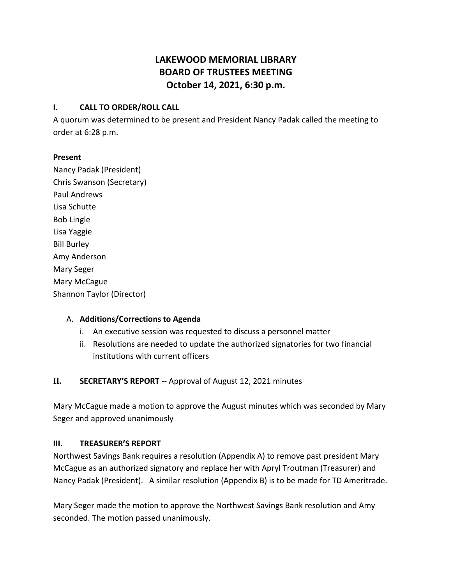# **LAKEWOOD MEMORIAL LIBRARY BOARD OF TRUSTEES MEETING October 14, 2021, 6:30 p.m.**

## **I. CALL TO ORDER/ROLL CALL**

A quorum was determined to be present and President Nancy Padak called the meeting to order at 6:28 p.m.

#### **Present**

Nancy Padak (President) Chris Swanson (Secretary) Paul Andrews Lisa Schutte Bob Lingle Lisa Yaggie Bill Burley Amy Anderson Mary Seger Mary McCague Shannon Taylor (Director)

## A. **Additions/Corrections to Agenda**

- i. An executive session was requested to discuss a personnel matter
- ii. Resolutions are needed to update the authorized signatories for two financial institutions with current officers

## **II. SECRETARY'S REPORT** -- Approval of August 12, 2021 minutes

Mary McCague made a motion to approve the August minutes which was seconded by Mary Seger and approved unanimously

## **III. TREASURER'S REPORT**

Northwest Savings Bank requires a resolution (Appendix A) to remove past president Mary McCague as an authorized signatory and replace her with Apryl Troutman (Treasurer) and Nancy Padak (President). A similar resolution (Appendix B) is to be made for TD Ameritrade.

Mary Seger made the motion to approve the Northwest Savings Bank resolution and Amy seconded. The motion passed unanimously.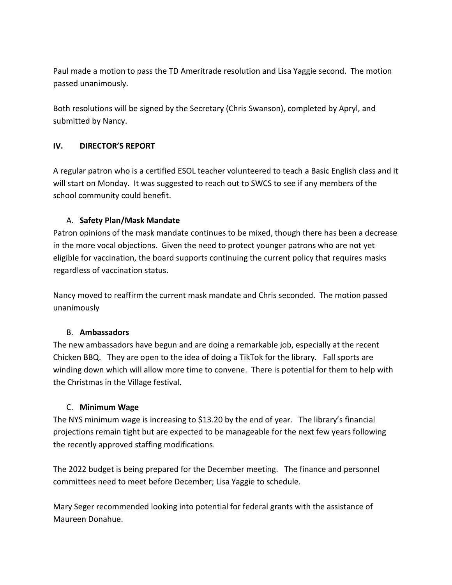Paul made a motion to pass the TD Ameritrade resolution and Lisa Yaggie second. The motion passed unanimously.

Both resolutions will be signed by the Secretary (Chris Swanson), completed by Apryl, and submitted by Nancy.

## **IV. DIRECTOR'S REPORT**

A regular patron who is a certified ESOL teacher volunteered to teach a Basic English class and it will start on Monday. It was suggested to reach out to SWCS to see if any members of the school community could benefit.

## A. **Safety Plan/Mask Mandate**

Patron opinions of the mask mandate continues to be mixed, though there has been a decrease in the more vocal objections. Given the need to protect younger patrons who are not yet eligible for vaccination, the board supports continuing the current policy that requires masks regardless of vaccination status.

Nancy moved to reaffirm the current mask mandate and Chris seconded. The motion passed unanimously

## B. **Ambassadors**

The new ambassadors have begun and are doing a remarkable job, especially at the recent Chicken BBQ. They are open to the idea of doing a TikTok for the library. Fall sports are winding down which will allow more time to convene. There is potential for them to help with the Christmas in the Village festival.

## C. **Minimum Wage**

The NYS minimum wage is increasing to \$13.20 by the end of year. The library's financial projections remain tight but are expected to be manageable for the next few years following the recently approved staffing modifications.

The 2022 budget is being prepared for the December meeting. The finance and personnel committees need to meet before December; Lisa Yaggie to schedule.

Mary Seger recommended looking into potential for federal grants with the assistance of Maureen Donahue.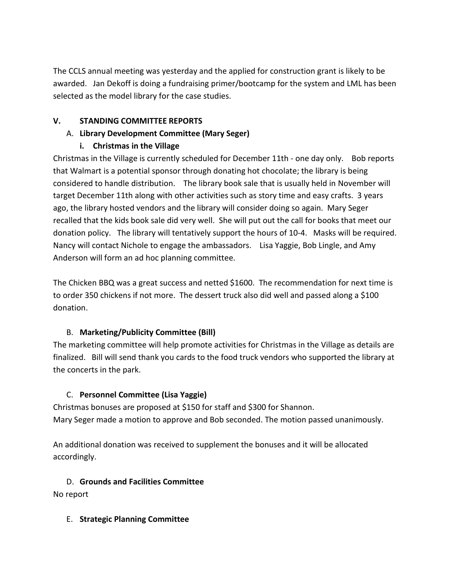The CCLS annual meeting was yesterday and the applied for construction grant is likely to be awarded. Jan Dekoff is doing a fundraising primer/bootcamp for the system and LML has been selected as the model library for the case studies.

## **V. STANDING COMMITTEE REPORTS**

## A. **Library Development Committee (Mary Seger)**

## **i. Christmas in the Village**

Christmas in the Village is currently scheduled for December 11th - one day only. Bob reports that Walmart is a potential sponsor through donating hot chocolate; the library is being considered to handle distribution. The library book sale that is usually held in November will target December 11th along with other activities such as story time and easy crafts. 3 years ago, the library hosted vendors and the library will consider doing so again. Mary Seger recalled that the kids book sale did very well. She will put out the call for books that meet our donation policy. The library will tentatively support the hours of 10-4. Masks will be required. Nancy will contact Nichole to engage the ambassadors. Lisa Yaggie, Bob Lingle, and Amy Anderson will form an ad hoc planning committee.

The Chicken BBQ was a great success and netted \$1600. The recommendation for next time is to order 350 chickens if not more. The dessert truck also did well and passed along a \$100 donation.

## B. **Marketing/Publicity Committee (Bill)**

The marketing committee will help promote activities for Christmas in the Village as details are finalized. Bill will send thank you cards to the food truck vendors who supported the library at the concerts in the park.

## C. **Personnel Committee (Lisa Yaggie)**

Christmas bonuses are proposed at \$150 for staff and \$300 for Shannon. Mary Seger made a motion to approve and Bob seconded. The motion passed unanimously.

An additional donation was received to supplement the bonuses and it will be allocated accordingly.

## D. **Grounds and Facilities Committee**

No report

## E. **Strategic Planning Committee**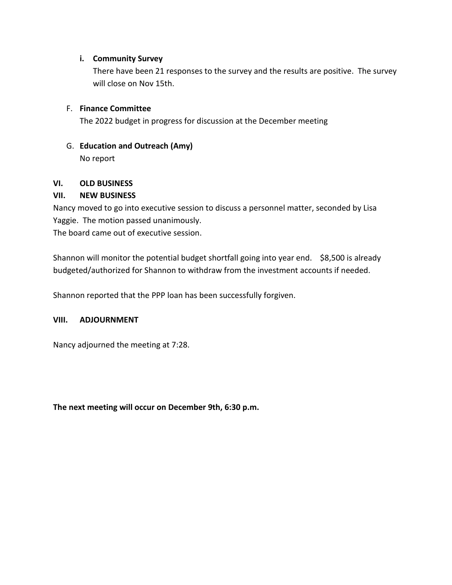## **i. Community Survey**

There have been 21 responses to the survey and the results are positive. The survey will close on Nov 15th.

#### F. **Finance Committee**

The 2022 budget in progress for discussion at the December meeting

G. **Education and Outreach (Amy)** No report

## **VI. OLD BUSINESS**

## **VII. NEW BUSINESS**

Nancy moved to go into executive session to discuss a personnel matter, seconded by Lisa Yaggie. The motion passed unanimously. The board came out of executive session.

Shannon will monitor the potential budget shortfall going into year end. \$8,500 is already budgeted/authorized for Shannon to withdraw from the investment accounts if needed.

Shannon reported that the PPP loan has been successfully forgiven.

#### **VIII. ADJOURNMENT**

Nancy adjourned the meeting at 7:28.

**The next meeting will occur on December 9th, 6:30 p.m.**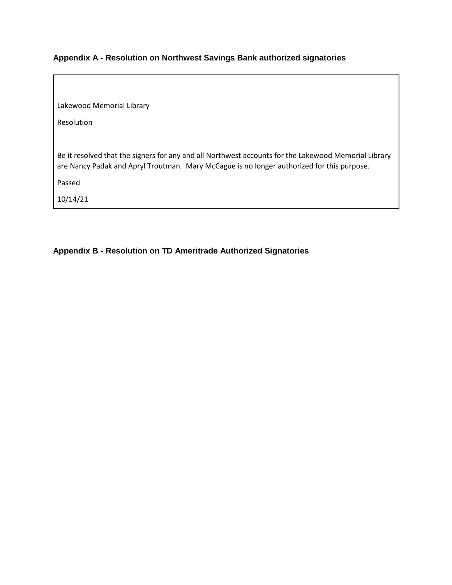## **Appendix A - Resolution on Northwest Savings Bank authorized signatories**

Lakewood Memorial Library

Resolution

Be it resolved that the signers for any and all Northwest accounts for the Lakewood Memorial Library are Nancy Padak and Apryl Troutman. Mary McCague is no longer authorized for this purpose.

Passed

10/14/21

**Appendix B - Resolution on TD Ameritrade Authorized Signatories**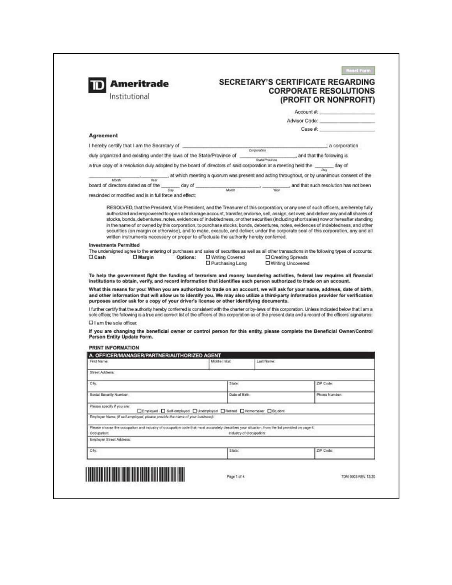|                              | Ameritrade<br>Institutional                                                                                                                                                                                                                                                                                                                                                                                                                                                                                            |                                                        |                                                                                               |                         |                                           | <b>SECRETARY'S CERTIFICATE REGARDING</b><br><b>CORPORATE RESOLUTIONS</b><br>(PROFIT OR NONPROFIT) |  |
|------------------------------|------------------------------------------------------------------------------------------------------------------------------------------------------------------------------------------------------------------------------------------------------------------------------------------------------------------------------------------------------------------------------------------------------------------------------------------------------------------------------------------------------------------------|--------------------------------------------------------|-----------------------------------------------------------------------------------------------|-------------------------|-------------------------------------------|---------------------------------------------------------------------------------------------------|--|
|                              |                                                                                                                                                                                                                                                                                                                                                                                                                                                                                                                        |                                                        |                                                                                               |                         |                                           | Account #:                                                                                        |  |
|                              |                                                                                                                                                                                                                                                                                                                                                                                                                                                                                                                        |                                                        |                                                                                               |                         |                                           | Advisor Code: North Code                                                                          |  |
|                              |                                                                                                                                                                                                                                                                                                                                                                                                                                                                                                                        |                                                        |                                                                                               |                         |                                           | $Case \#$                                                                                         |  |
| Agreement                    |                                                                                                                                                                                                                                                                                                                                                                                                                                                                                                                        |                                                        |                                                                                               |                         |                                           |                                                                                                   |  |
|                              | I hereby certify that I am the Secretary of                                                                                                                                                                                                                                                                                                                                                                                                                                                                            |                                                        |                                                                                               | Corporation             |                                           | : a corporation                                                                                   |  |
|                              | duly organized and existing under the laws of the State/Province of                                                                                                                                                                                                                                                                                                                                                                                                                                                    |                                                        |                                                                                               | State Provence          |                                           | , and that the following is                                                                       |  |
|                              | a true copy of a resolution duly adopted by the board of directors of said corporation at a meeting held the $\frac{1}{-\rho_{\text{AV}}}$ day of                                                                                                                                                                                                                                                                                                                                                                      |                                                        |                                                                                               |                         |                                           |                                                                                                   |  |
| <b>Month</b>                 |                                                                                                                                                                                                                                                                                                                                                                                                                                                                                                                        |                                                        | , at which meeting a quorum was present and acting throughout, or by unanimous consent of the |                         |                                           |                                                                                                   |  |
|                              | board of directors dated as of the                                                                                                                                                                                                                                                                                                                                                                                                                                                                                     | $\frac{1}{\partial xy}$ day of $\frac{1}{\partial xy}$ | Masth                                                                                         |                         |                                           | and that such resolution has not been                                                             |  |
|                              | rescinded or modified and is in full force and effect:                                                                                                                                                                                                                                                                                                                                                                                                                                                                 |                                                        |                                                                                               |                         |                                           |                                                                                                   |  |
| <b>Investments Permitted</b> | in the name of or owned by this corporation, to purchase stocks, bonds, debentures, notes, evidences of indebtedness, and other<br>securities (on margin or otherwise), and to make, execute, and deliver, under the corporate seal of this corporation, any and all<br>written instruments necessary or proper to effectuate the authority hereby conferred.<br>The undersigned agree to the entering of purchases and sales of securities as well as all other transactions in the following types of accounts:      |                                                        |                                                                                               |                         |                                           |                                                                                                   |  |
|                              |                                                                                                                                                                                                                                                                                                                                                                                                                                                                                                                        |                                                        |                                                                                               |                         |                                           |                                                                                                   |  |
| $\Box$ Cash                  | $\square$ Margin                                                                                                                                                                                                                                                                                                                                                                                                                                                                                                       | Options:                                               | L Writing Covered<br>D Purchasing Long                                                        |                         | □ Creating Spreads<br>O Writing Uncovered |                                                                                                   |  |
|                              | To help the government fight the funding of terrorism and money laundering activities, federal law requires all financial<br>institutions to obtain, verify, and record information that identifies each person authorized to trade on an account.<br>What this means for you: When you are authorized to trade on an account, we will ask for your name, address, date of birth,<br>and other information that will allow us to identify you. We may also utilize a third-party information provider for verification |                                                        |                                                                                               |                         |                                           |                                                                                                   |  |
|                              | purposes and/or ask for a copy of your driver's license or other identifying documents.<br>I further certify that the authority hereby conferred is consistent with the charter or by-laws of this corporation. Unless indicated below that I am a<br>sole officer, the following is a true and correct list of the officers of this corporation as of the present date and a record of the officers' signatures:                                                                                                      |                                                        |                                                                                               |                         |                                           |                                                                                                   |  |
| I am the sole officer.       |                                                                                                                                                                                                                                                                                                                                                                                                                                                                                                                        |                                                        |                                                                                               |                         |                                           |                                                                                                   |  |
| Person Entity Update Form.   | If you are changing the beneficial owner or control person for this entity, please complete the Beneficial Owner/Control                                                                                                                                                                                                                                                                                                                                                                                               |                                                        |                                                                                               |                         |                                           |                                                                                                   |  |
| PRINT INFORMATION            |                                                                                                                                                                                                                                                                                                                                                                                                                                                                                                                        |                                                        |                                                                                               |                         |                                           |                                                                                                   |  |
|                              | A. OFFICER/MANAGER/PARTNER/AUTHORIZED AGENT                                                                                                                                                                                                                                                                                                                                                                                                                                                                            |                                                        |                                                                                               |                         |                                           |                                                                                                   |  |
| First Name:                  |                                                                                                                                                                                                                                                                                                                                                                                                                                                                                                                        |                                                        | Middle Inital:                                                                                | Last Name:              |                                           |                                                                                                   |  |
| Street Address:              |                                                                                                                                                                                                                                                                                                                                                                                                                                                                                                                        |                                                        |                                                                                               |                         |                                           |                                                                                                   |  |
| City:                        |                                                                                                                                                                                                                                                                                                                                                                                                                                                                                                                        |                                                        | State:                                                                                        |                         |                                           | ZIP Code:                                                                                         |  |
| Social Security Number:      |                                                                                                                                                                                                                                                                                                                                                                                                                                                                                                                        |                                                        | Date of Birth:                                                                                |                         |                                           | Phone Number:                                                                                     |  |
| Please specify if you are:   |                                                                                                                                                                                                                                                                                                                                                                                                                                                                                                                        |                                                        |                                                                                               |                         |                                           |                                                                                                   |  |
|                              | Employer Name (if self-employed, please provide the name of your business):                                                                                                                                                                                                                                                                                                                                                                                                                                            |                                                        | □Employed □ Self-employed □ Unemployed □ Retired □ Homemaker □ Student                        |                         |                                           |                                                                                                   |  |
| Occupation:                  | Please choose the occupation and industry of occupation code that most accurately describes your situation, from the list provided on page 4.                                                                                                                                                                                                                                                                                                                                                                          |                                                        |                                                                                               | Industry of Occupation: |                                           |                                                                                                   |  |
| Employer Street Address:     |                                                                                                                                                                                                                                                                                                                                                                                                                                                                                                                        |                                                        |                                                                                               |                         |                                           |                                                                                                   |  |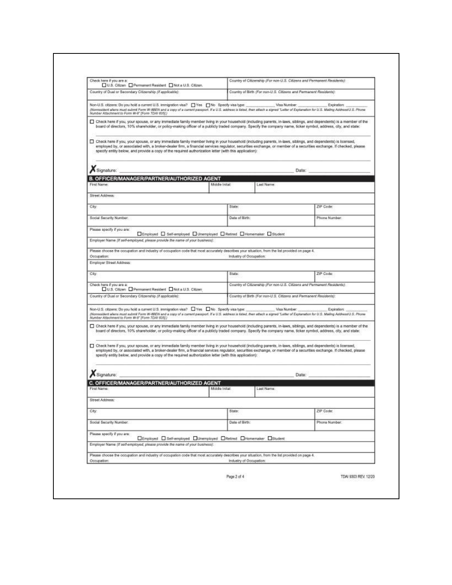| Check here if you are a:<br>U.S. Citizen   Permanent Resident   Not a U.S. Citizen.                                                                                                                                                                                                                                                                                                                                                         |                |                         | Country of Citizenship (For non-U.S. Citizens and Permanent Residents): |
|---------------------------------------------------------------------------------------------------------------------------------------------------------------------------------------------------------------------------------------------------------------------------------------------------------------------------------------------------------------------------------------------------------------------------------------------|----------------|-------------------------|-------------------------------------------------------------------------|
| Country of Dual or Secondary Citizenship (if applicable):                                                                                                                                                                                                                                                                                                                                                                                   |                |                         | Country of Birth (For non-U.S. Citizens and Permanent Residents):       |
| (Nonneablent allens must submit Form W-8BEN and a copy of a current passport. If a U.S. address is listed, then attack a signed "Latter of Explanation for U.S. Maling Address(U.S. Phone<br>Number Attachment to Form W-8" (Form TDAI 635().                                                                                                                                                                                               |                |                         | Visa Number:<br>Expiration:                                             |
| Check here if you, your spouse, or any immediate family member living in your household (including parents, in-laws, siblings, and dependents) is a member of the<br>board of directors, 10% shareholder, or policy-making officer of a publicly traded company. Specify the company name, ticker symbol, address, city, and state:                                                                                                         |                |                         |                                                                         |
| Check here if you, your spouse, or any immediate family member living in your household (including parents, in-laws, siblings, and dependents) is licensed,<br>employed by, or associated with, a broker-dealer firm, a financial services regulator, securities exchange, or member of a securities exchange. If checked, please<br>specify entity below, and provide a copy of the required authorization letter (with this application): |                |                         |                                                                         |
| Signature:                                                                                                                                                                                                                                                                                                                                                                                                                                  |                |                         | Date:                                                                   |
| B. OFFICER/MANAGER/PARTNER/AUTHORIZED AGENT                                                                                                                                                                                                                                                                                                                                                                                                 |                |                         |                                                                         |
| First Name:                                                                                                                                                                                                                                                                                                                                                                                                                                 | Middle Inital: | Last Name:              |                                                                         |
| Street Address:                                                                                                                                                                                                                                                                                                                                                                                                                             |                |                         |                                                                         |
| City.                                                                                                                                                                                                                                                                                                                                                                                                                                       | State:         |                         | ZIP Code:                                                               |
| Social Security Number:                                                                                                                                                                                                                                                                                                                                                                                                                     | Date of Birth: |                         | Phone Number:                                                           |
|                                                                                                                                                                                                                                                                                                                                                                                                                                             |                |                         |                                                                         |
| Please specify if you are:<br>□Employed □ Self-employed □ Unemployed □ Retred □ Homemaker □ Student                                                                                                                                                                                                                                                                                                                                         |                |                         |                                                                         |
| Employer Name (if self-employed, please provide the name of your business):                                                                                                                                                                                                                                                                                                                                                                 |                |                         |                                                                         |
| Please choose the occupation and industry of occupation code that most accurately describes your situation, from the list provided on page 4.                                                                                                                                                                                                                                                                                               |                |                         |                                                                         |
| Occupation:                                                                                                                                                                                                                                                                                                                                                                                                                                 |                | Industry of Occupation: |                                                                         |
| Employer Street Address:                                                                                                                                                                                                                                                                                                                                                                                                                    |                |                         |                                                                         |
| City.                                                                                                                                                                                                                                                                                                                                                                                                                                       | State:         |                         | ZiP Code:                                                               |
| Check here if you are a:<br>U.S. Clizen Permanent Resident Not a U.S. Clizen                                                                                                                                                                                                                                                                                                                                                                |                |                         | Country of Citizenship (For non-U.S. Citizens and Permanent Residents). |
| Country of Dual or Secondary Citizenship (if applicable):                                                                                                                                                                                                                                                                                                                                                                                   |                |                         | Country of Birth (For non-U.S. Citizens and Permanent Residents):       |
|                                                                                                                                                                                                                                                                                                                                                                                                                                             |                |                         |                                                                         |
| Non-U.S. citzens: Do you hold a current U.S. immigration visa? DiYes DiNo Specify visa type:<br>(Normuldent allens must submit Form W-8BEN and a copy of a current passport. If a U.S. address is listed, then attack a signed "Latter of Explanation for U.S. Mailing Address(U.S. Phone<br>Number Attachment to Form W-8" (Form TDAI 835))                                                                                                |                |                         | Visa Number:<br>Expiration:                                             |
| Check here if you, your spouse, or any immediate family member living in your household (including parents, in-laws, siblings, and dependents) is a member of the<br>board of directors, 10% shareholder, or policy-making officer of a publicly traded company. Specify the company name, ticker symbol, address, city, and state:                                                                                                         |                |                         |                                                                         |
| Check here if you, your spouse, or any immediate family member living in your household (including parents, in-laws, siblings, and dependents) is licensed,<br>employed by, or associated with, a broker-dealer firm, a financial services regulator, securities exchange, or member of a securities exchange. If checked, please<br>specify entity below, and provide a copy of the required authorization letter (with this application): |                |                         |                                                                         |
|                                                                                                                                                                                                                                                                                                                                                                                                                                             |                |                         |                                                                         |
| Signature:                                                                                                                                                                                                                                                                                                                                                                                                                                  |                |                         | Date:                                                                   |
| OFFICER/MANAGER/PARTNER/AUTHORIZED AGENT<br>First Name:                                                                                                                                                                                                                                                                                                                                                                                     | Middle Inital: | Last Name:              |                                                                         |
| Street Address:                                                                                                                                                                                                                                                                                                                                                                                                                             |                |                         |                                                                         |
| City:                                                                                                                                                                                                                                                                                                                                                                                                                                       | State:         |                         | ZIP Code:                                                               |
| Social Security Number:                                                                                                                                                                                                                                                                                                                                                                                                                     | Date of Birth: |                         | Phone Number:                                                           |
|                                                                                                                                                                                                                                                                                                                                                                                                                                             |                |                         |                                                                         |
| Please specify if you are:<br>□Employed □ Self-employed □Unemployed □ Retred □Homemaker □ Student                                                                                                                                                                                                                                                                                                                                           |                |                         |                                                                         |
| Employer Name (if self-employed, please provide the name of your business):                                                                                                                                                                                                                                                                                                                                                                 |                |                         |                                                                         |
| Please choose the occupation and industry of occupation code that most accurately describes your situation, from the list provided on page 4.<br>Occupation:                                                                                                                                                                                                                                                                                |                | Industry of Occupation: |                                                                         |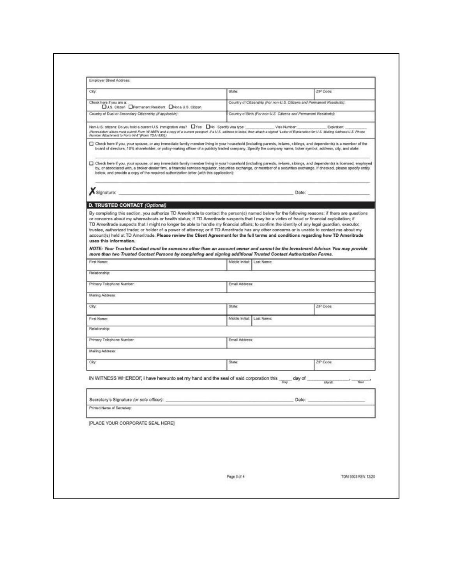| City.                                                                                                                                                                                                                                                                                                                                                                                                                                       | State:                        | ZIP Code:                                                               |                      |
|---------------------------------------------------------------------------------------------------------------------------------------------------------------------------------------------------------------------------------------------------------------------------------------------------------------------------------------------------------------------------------------------------------------------------------------------|-------------------------------|-------------------------------------------------------------------------|----------------------|
| Check here if you are a:<br>U.S. Citzen Permanent Resident Nict a U.S. Citzen                                                                                                                                                                                                                                                                                                                                                               |                               | Country of Citizenship (For non-U.S. Citizens and Permanent Residents): |                      |
| Country of Dual or Secondary Citizenship (if applicable):                                                                                                                                                                                                                                                                                                                                                                                   |                               | Country of Birth (For non-U.S. Citizens and Permanent Residents);       |                      |
| Non-U.S. oltzens: Do you hold a current U.S. immigration visa? UYes No Specify visa type:<br>(Nonrealdent allens must submit Form W-8BEN and a copy of a current passport. If a U.S. address is listed, then attach a signed "Letter of Explanation for U.S. Maling Address/U.S. Phone<br>Number Attachment to Form W-8" (Form TDAI 8352)                                                                                                   |                               | Visa Number:<br>Expiration:                                             |                      |
| Check here if you, your spouse, or any immediate family member living in your household (including parents, in-laws, siblings, and dependents) is a member of the<br>board of directors, 10% shareholder, or policy-making officer of a publicly traded company. Specify the company name, ticker symbol, address, city, and state:                                                                                                         |                               |                                                                         |                      |
| Check here if you, your spouse, or any immediate family member living in your household (including parents, in-laws, siblings, and dependents) is licensed, employed<br>by, or associated with, a broker-dealer firm, a financial services regulator, securities exchange, or member of a securities exchange. If checked, please specify entity<br>below, and provide a copy of the required authorization letter (with this application): |                               |                                                                         |                      |
| Signature:                                                                                                                                                                                                                                                                                                                                                                                                                                  |                               | Date:                                                                   |                      |
|                                                                                                                                                                                                                                                                                                                                                                                                                                             |                               |                                                                         |                      |
| uses this information.<br>NOTE: Your Trusted Contact must be someone other than an account owner and cannot be the Investment Advisor. You may provide<br>more than two Trusted Contact Persons by completing and signing additional Trusted Contact Authorization Forms.<br>First Name:                                                                                                                                                    | Middle Initial: Last Name:    |                                                                         |                      |
| Relationship:                                                                                                                                                                                                                                                                                                                                                                                                                               |                               |                                                                         |                      |
|                                                                                                                                                                                                                                                                                                                                                                                                                                             |                               |                                                                         |                      |
| Primary Telephone Number:                                                                                                                                                                                                                                                                                                                                                                                                                   | Email Address:                |                                                                         |                      |
| Mailing Address:                                                                                                                                                                                                                                                                                                                                                                                                                            |                               |                                                                         |                      |
| City:                                                                                                                                                                                                                                                                                                                                                                                                                                       | State:                        | ZiP Code:                                                               |                      |
| First Name:                                                                                                                                                                                                                                                                                                                                                                                                                                 | Middle Initial:<br>Last Name: |                                                                         |                      |
|                                                                                                                                                                                                                                                                                                                                                                                                                                             |                               |                                                                         |                      |
| Relationship:                                                                                                                                                                                                                                                                                                                                                                                                                               |                               |                                                                         |                      |
| Primary Telephone Number:                                                                                                                                                                                                                                                                                                                                                                                                                   | Email Address:                |                                                                         |                      |
| Mailing Address:                                                                                                                                                                                                                                                                                                                                                                                                                            |                               |                                                                         |                      |
| City.                                                                                                                                                                                                                                                                                                                                                                                                                                       | State:                        | ZIP Code:                                                               |                      |
| IN WITNESS WHEREOF, I have hereunto set my hand and the seal of said corporation this $\frac{1}{20W}$ day of                                                                                                                                                                                                                                                                                                                                |                               | Month                                                                   | <b>Near</b>          |
| Secretary's Signature (or sole officer):                                                                                                                                                                                                                                                                                                                                                                                                    |                               | Date:                                                                   |                      |
| Printed Name of Secretary:                                                                                                                                                                                                                                                                                                                                                                                                                  |                               |                                                                         |                      |
|                                                                                                                                                                                                                                                                                                                                                                                                                                             |                               |                                                                         |                      |
| [PLACE YOUR CORPORATE SEAL HERE]                                                                                                                                                                                                                                                                                                                                                                                                            |                               |                                                                         |                      |
|                                                                                                                                                                                                                                                                                                                                                                                                                                             |                               |                                                                         |                      |
|                                                                                                                                                                                                                                                                                                                                                                                                                                             |                               |                                                                         |                      |
|                                                                                                                                                                                                                                                                                                                                                                                                                                             |                               |                                                                         |                      |
|                                                                                                                                                                                                                                                                                                                                                                                                                                             | Page 3 of 4                   |                                                                         | TDAI 9303 REV. 12/20 |